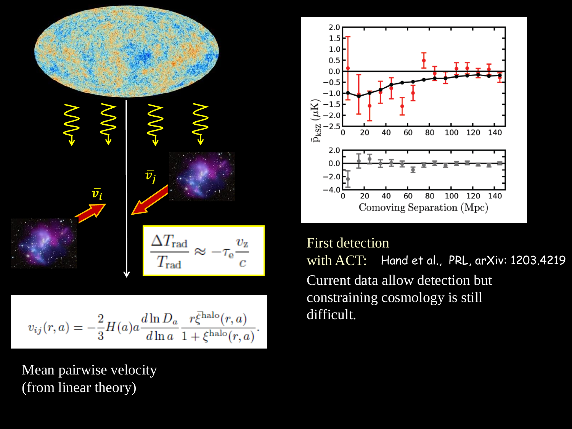

$$
v_{ij}(r,a) = -\frac{2}{3}H(a)a\frac{d\ln D_a}{d\ln a}\frac{r\bar{\xi}^{\text{halo}}(r,a)}{1+\xi^{\text{halo}}(r,a)}.
$$

Mean pairwise velocity (from linear theory)



Hand et al., PRL, arXiv: 1203.4219 First detection with ACT: Current data allow detection but constraining cosmology is still difficult.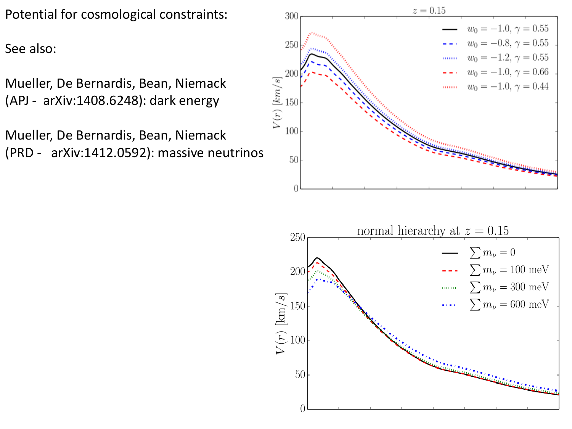Potential for cosmological constraints:

See also:

Mueller, De Bernardis, Bean, Niemack (APJ - arXiv:1408.6248): dark energy

Mueller, De Bernardis, Bean, Niemack (PRD - arXiv:1412.0592): massive neutrinos



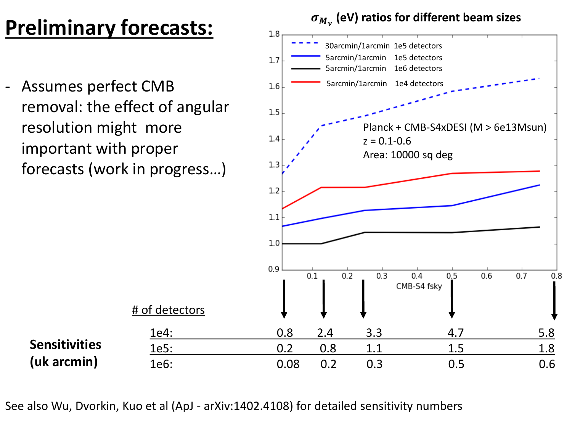## **Preliminary forecasts:**

Assumes perfect CMB removal: the effect of angular resolution might more important with proper forecasts (work in progress…)

**Sensitivities**

**(uk arcmin)**

 $\sigma_{M_{\nu}}$  (eV) ratios for different beam sizes



See also Wu, Dvorkin, Kuo et al (ApJ - arXiv:1402.4108) for detailed sensitivity numbers